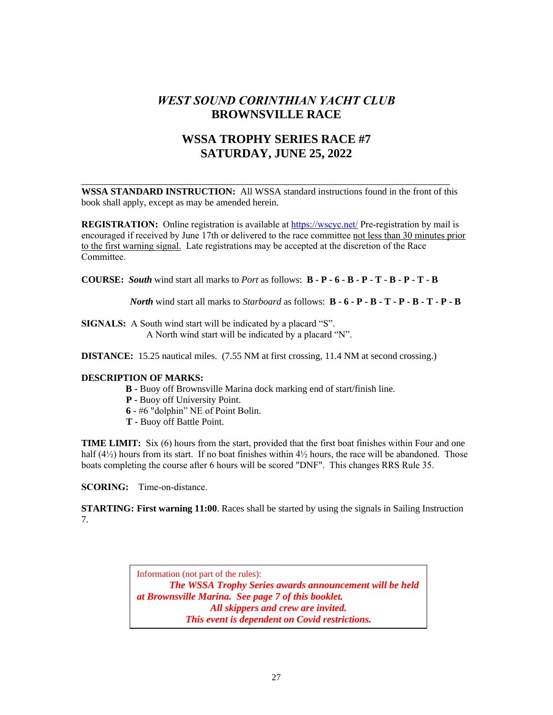# *WEST SOUND CORINTHIAN YACHT CLUB* **BROWNSVILLE RACE**

## **WSSA TROPHY SERIES RACE #7 SATURDAY, JUNE 25, 2022**

**WSSA STANDARD INSTRUCTION:** All WSSA standard instructions found in the front of this book shall apply, except as may be amended herein.

\_\_\_\_\_\_\_\_\_\_\_\_\_\_\_\_\_\_\_\_\_\_\_\_\_\_\_\_\_\_\_\_\_\_\_\_\_\_\_\_\_\_\_\_\_\_\_\_\_\_\_\_\_\_\_\_\_\_\_\_\_\_\_\_\_\_\_\_\_\_\_

**REGISTRATION:** Online registration is available at https://wscyc.net/ Pre-registration by mail is encouraged if received by June 17th or delivered to the race committee not less than 30 minutes prior to the first warning signal. Late registrations may be accepted at the discretion of the Race Committee.

**COURSE:** *South* wind start all marks to *Port* as follows: **B - P - 6 - B - P - T - B - P - T - B**

 *North* wind start all marks to *Starboard* as follows: **B - 6 - P - B - T - P - B - T - P - B**

**SIGNALS:** A South wind start will be indicated by a placard "S". A North wind start will be indicated by a placard "N".

**DISTANCE:** 15.25 nautical miles. (7.55 NM at first crossing, 11.4 NM at second crossing.)

#### **DESCRIPTION OF MARKS:**

- **B -** Buoy off Brownsville Marina dock marking end of start/finish line.
- **P -** Buoy off University Point.
- **6 -** #6 "dolphin" NE of Point Bolin.
- **T -** Buoy off Battle Point.

**TIME LIMIT:** Six (6) hours from the start, provided that the first boat finishes within Four and one half (4½) hours from its start. If no boat finishes within 4½ hours, the race will be abandoned. Those boats completing the course after 6 hours will be scored "DNF". This changes RRS Rule 35.

**SCORING:** Time-on-distance.

**STARTING:** First warning 11:00. Races shall be started by using the signals in Sailing Instruction 7.

Information (not part of the rules):

*The WSSA Trophy Series awards announcement will be held at Brownsville Marina. See page 7 of this booklet. All skippers and crew are invited. This event is dependent on Covid restrictions.*